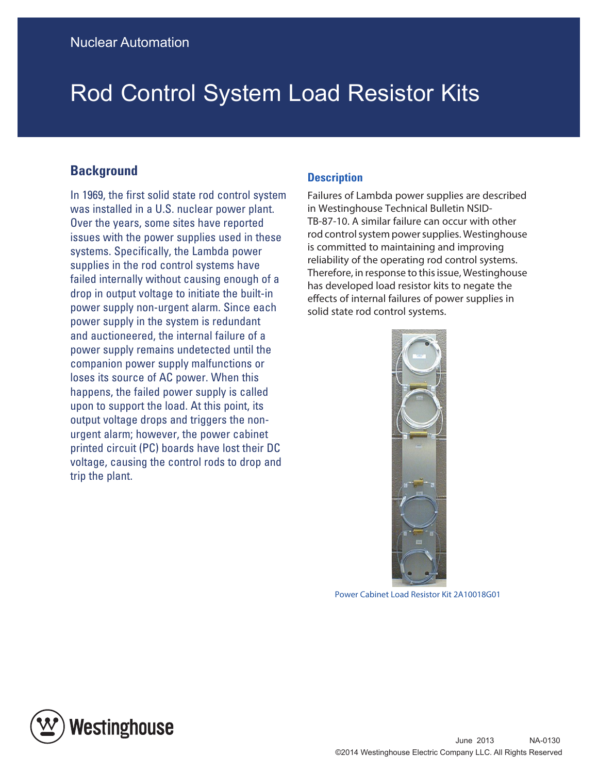## Rod Control System Load Resistor Kits

## **Background**

In 1969, the first solid state rod control system was installed in a U.S. nuclear power plant. Over the years, some sites have reported issues with the power supplies used in these systems. Specifically, the Lambda power supplies in the rod control systems have failed internally without causing enough of a drop in output voltage to initiate the built-in power supply non-urgent alarm. Since each power supply in the system is redundant and auctioneered, the internal failure of a power supply remains undetected until the companion power supply malfunctions or loses its source of AC power. When this happens, the failed power supply is called upon to support the load. At this point, its output voltage drops and triggers the nonurgent alarm; however, the power cabinet printed circuit (PC) boards have lost their DC voltage, causing the control rods to drop and trip the plant.

## **Description**

Failures of Lambda power supplies are described in Westinghouse Technical Bulletin NSID-TB-87-10. A similar failure can occur with other rod control system power supplies. Westinghouse is committed to maintaining and improving reliability of the operating rod control systems. Therefore, in response to this issue, Westinghouse has developed load resistor kits to negate the effects of internal failures of power supplies in solid state rod control systems.



Power Cabinet Load Resistor Kit 2A10018G01